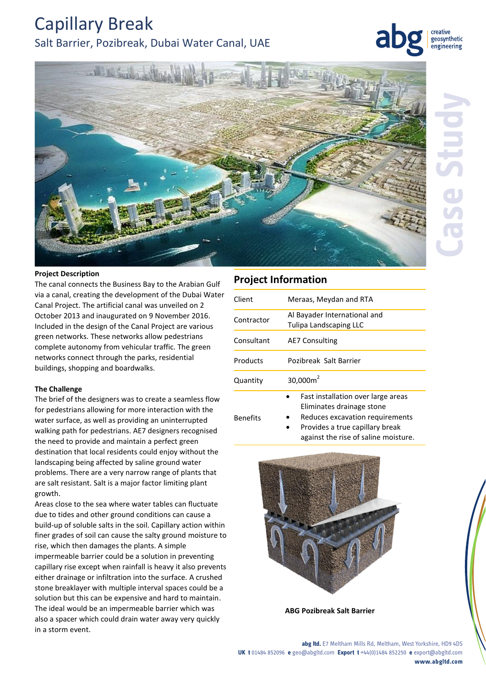## Capillary Break Salt Barrier, Pozibreak, Dubai Water Canal, UAE

geosynthetic engineering



#### **Project Description**

The canal connects the Business Bay to the Arabian Gulf via a canal, creating the development of the Dubai Water Canal Project. The artificial canal was unveiled on 2 October 2013 and inaugurated on 9 November 2016. Included in the design of the Canal Project are various green networks. These networks allow pedestrians complete autonomy from vehicular traffic. The green networks connect through the parks, residential buildings, shopping and boardwalks.

#### **The Challenge**

The brief of the designers was to create a seamless flow for pedestrians allowing for more interaction with the water surface, as well as providing an uninterrupted walking path for pedestrians. AE7 designers recognised the need to provide and maintain a perfect green destination that local residents could enjoy without the landscaping being affected by saline ground water problems. There are a very narrow range of plants that are salt resistant. Salt is a major factor limiting plant growth.

Areas close to the sea where water tables can fluctuate due to tides and other ground conditions can cause a build-up of soluble salts in the soil. Capillary action within finer grades of soil can cause the salty ground moisture to rise, which then damages the plants. A simple impermeable barrier could be a solution in preventing capillary rise except when rainfall is heavy it also prevents either drainage or infiltration into the surface. A crushed stone breaklayer with multiple interval spaces could be a solution but this can be expensive and hard to maintain. The ideal would be an impermeable barrier which was also a spacer which could drain water away very quickly in a storm event.

### **Project Information**

Benefits

| Client     | Meraas, Meydan and RTA                                          |
|------------|-----------------------------------------------------------------|
| Contractor | Al Bayader International and<br>Tulipa Landscaping LLC          |
| Consultant | <b>AE7 Consulting</b>                                           |
| Products   | Pozibreak Salt Barrier                                          |
| Quantity   | 30,000 $m2$                                                     |
|            | Fast installation over large areas<br>Eliminates drainage stone |

- Reduces excavation requirements
	- Provides a true capillary break against the rise of saline moisture.



**ABG Pozibreak Salt Barrier**

**abg ltd.** E7 Meltham Mills Rd, Meltham, West Yorkshire, HD9 4DS **UK t** 01484 852096 **e** geo@abgltd.com **Export t** +44(0)1484 852250 **e** export@abgltd.com **www.abgltd.com**